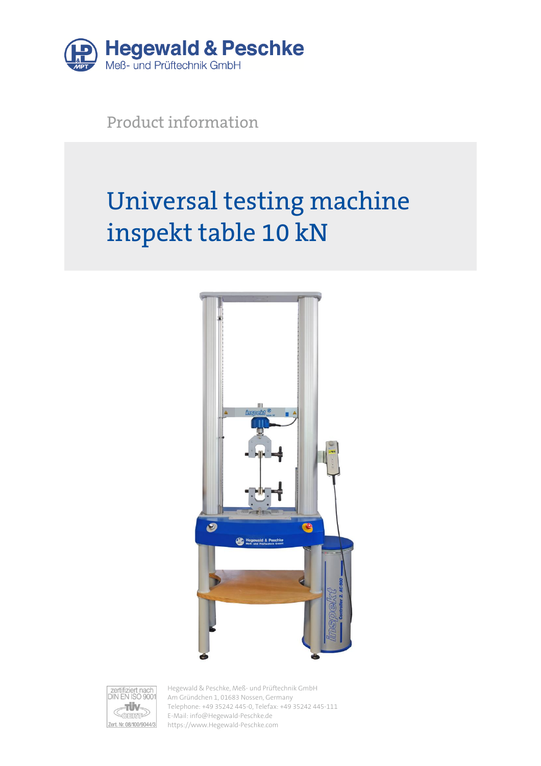

Product information

# Universal testing machine inspekt table 10 kN





Hegewald & Peschke, Meß- und Prüftechnik GmbH Am Gründchen 1, 01683 Nossen, Germany Telephone: +49 35242 445-0, Telefax: +49 35242 445-111 E-Mail: info@Hegewald-Peschke.de https://www.Hegewald-Peschke.com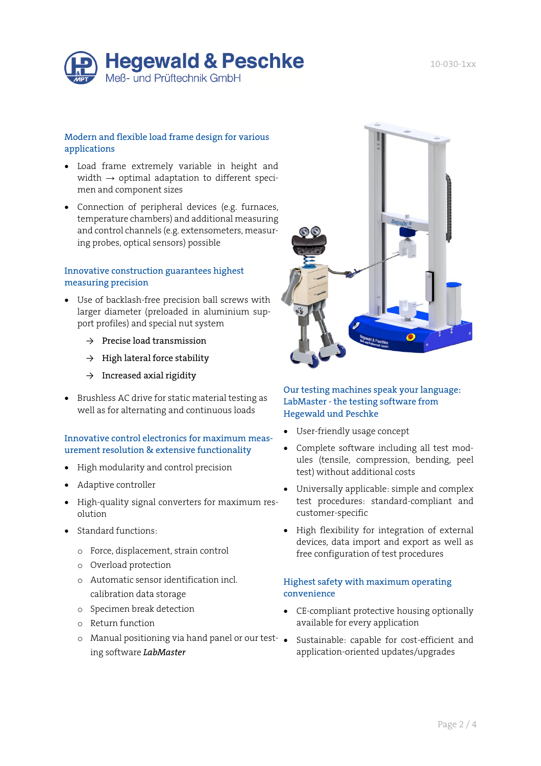

### Modern and flexible load frame design for various applications

- Load frame extremely variable in height and width  $\rightarrow$  optimal adaptation to different specimen and component sizes
- Connection of peripheral devices (e.g. furnaces, temperature chambers) and additional measuring and control channels (e.g. extensometers, measuring probes, optical sensors) possible

### Innovative construction guarantees highest measuring precision

- Use of backlash-free precision ball screws with larger diameter (preloaded in aluminium support profiles) and special nut system
	- $\rightarrow$  Precise load transmission
	- $\rightarrow$  High lateral force stability
	- $\rightarrow$  Increased axial rigidity
- Brushless AC drive for static material testing as well as for alternating and continuous loads

### Innovative control electronics for maximum measurement resolution & extensive functionality

- High modularity and control precision
- Adaptive controller
- High-quality signal converters for maximum resolution
- Standard functions:
	- o Force, displacement, strain control
	- o Overload protection
	- o Automatic sensor identification incl. calibration data storage
	- o Specimen break detection
	- o Return function
	- o Manual positioning via hand panel or our testing software *LabMaster*



## Our testing machines speak your language: LabMaster - the testing software from Hegewald und Peschke

- User-friendly usage concept
- Complete software including all test modules (tensile, compression, bending, peel test) without additional costs
- Universally applicable: simple and complex test procedures: standard-compliant and customer-specific
- High flexibility for integration of external devices, data import and export as well as free configuration of test procedures

#### Highest safety with maximum operating convenience

- CE-compliant protective housing optionally available for every application
- Sustainable: capable for cost-efficient and application-oriented updates/upgrades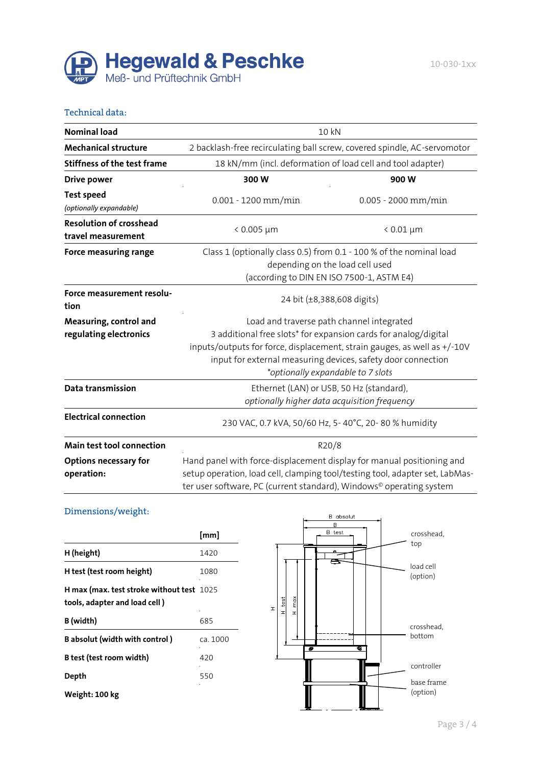

#### Technical data:

| <b>Nominal load</b>                                  | 10 kN                                                                                                                                                                                                                                                                                         |                                                                          |  |  |
|------------------------------------------------------|-----------------------------------------------------------------------------------------------------------------------------------------------------------------------------------------------------------------------------------------------------------------------------------------------|--------------------------------------------------------------------------|--|--|
| <b>Mechanical structure</b>                          |                                                                                                                                                                                                                                                                                               | 2 backlash-free recirculating ball screw, covered spindle, AC-servomotor |  |  |
| <b>Stiffness of the test frame</b>                   | 18 kN/mm (incl. deformation of load cell and tool adapter)                                                                                                                                                                                                                                    |                                                                          |  |  |
| <b>Drive power</b>                                   | 300W                                                                                                                                                                                                                                                                                          | 900W                                                                     |  |  |
| <b>Test speed</b><br>(optionally expandable)         | $0.001 - 1200$ mm/min                                                                                                                                                                                                                                                                         | $0.005 - 2000$ mm/min                                                    |  |  |
| <b>Resolution of crosshead</b><br>travel measurement | $< 0.005 \mu m$                                                                                                                                                                                                                                                                               | $< 0.01 \mu m$                                                           |  |  |
| Force measuring range                                | Class 1 (optionally class 0.5) from 0.1 - 100 % of the nominal load<br>depending on the load cell used<br>(according to DIN EN ISO 7500-1, ASTM E4)                                                                                                                                           |                                                                          |  |  |
| Force measurement resolu-<br>tion                    | 24 bit (±8,388,608 digits)                                                                                                                                                                                                                                                                    |                                                                          |  |  |
| Measuring, control and<br>regulating electronics     | Load and traverse path channel integrated<br>3 additional free slots* for expansion cards for analog/digital<br>inputs/outputs for force, displacement, strain gauges, as well as +/-10V<br>input for external measuring devices, safety door connection<br>*optionally expandable to 7 slots |                                                                          |  |  |
| Data transmission                                    | Ethernet (LAN) or USB, 50 Hz (standard),<br>optionally higher data acquisition frequency                                                                                                                                                                                                      |                                                                          |  |  |
| <b>Electrical connection</b>                         | 230 VAC, 0.7 kVA, 50/60 Hz, 5-40°C, 20-80% humidity                                                                                                                                                                                                                                           |                                                                          |  |  |
| Main test tool connection                            | R20/8                                                                                                                                                                                                                                                                                         |                                                                          |  |  |
| <b>Options necessary for</b><br>operation:           | Hand panel with force-displacement display for manual positioning and<br>setup operation, load cell, clamping tool/testing tool, adapter set, LabMas-<br>ter user software, PC (current standard), Windows <sup>®</sup> operating system                                                      |                                                                          |  |  |

## Dimensions/weight:

|                                                                                    | [mm]     |
|------------------------------------------------------------------------------------|----------|
| H (height)                                                                         | 1420     |
| H test (test room height)                                                          | 1080     |
| <b>H</b> max (max. test stroke without test 1025)<br>tools, adapter and load cell) |          |
| B (width)                                                                          | 685      |
| B absolut (width with control)                                                     | ca. 1000 |
| B test (test room width)                                                           | 420      |
| Depth                                                                              | 550      |
| Weight: 100 kg                                                                     |          |